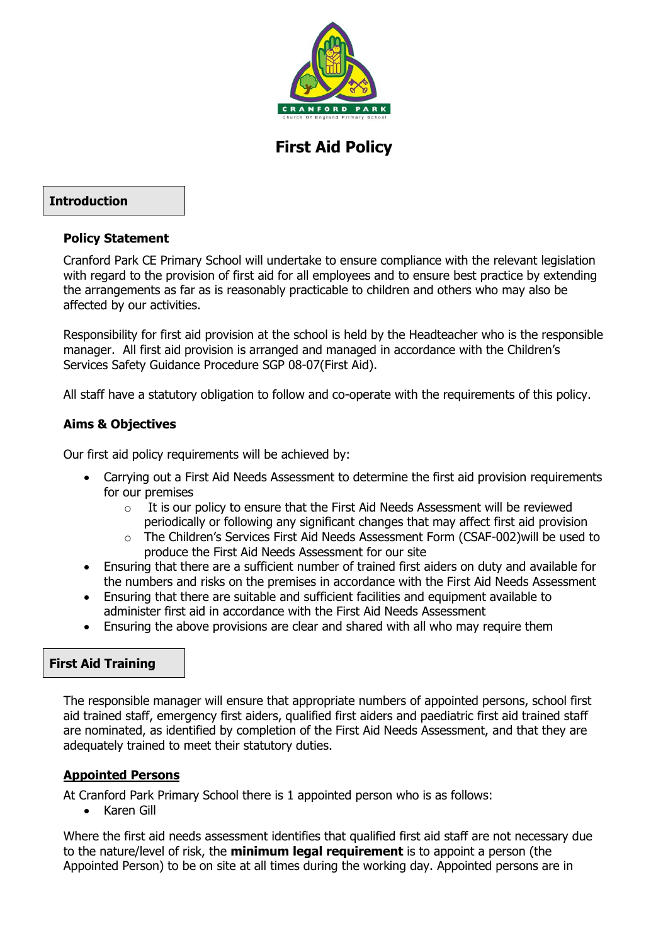

# **First Aid Policy**

### **Introduction**

### **Policy Statement**

Cranford Park CE Primary School will undertake to ensure compliance with the relevant legislation with regard to the provision of first aid for all employees and to ensure best practice by extending the arrangements as far as is reasonably practicable to children and others who may also be affected by our activities.

Responsibility for first aid provision at the school is held by the Headteacher who is the responsible manager. All first aid provision is arranged and managed in accordance with the Children's Services Safety Guidance Procedure SGP 08-07(First Aid).

All staff have a statutory obligation to follow and co-operate with the requirements of this policy.

### **Aims & Objectives**

Our first aid policy requirements will be achieved by:

- Carrying out a First Aid Needs Assessment to determine the first aid provision requirements for our premises
	- $\circ$  It is our policy to ensure that the First Aid Needs Assessment will be reviewed periodically or following any significant changes that may affect first aid provision
	- o The Children's Services First Aid Needs Assessment Form (CSAF-002)will be used to produce the First Aid Needs Assessment for our site
- Ensuring that there are a sufficient number of trained first aiders on duty and available for the numbers and risks on the premises in accordance with the First Aid Needs Assessment
- Ensuring that there are suitable and sufficient facilities and equipment available to administer first aid in accordance with the First Aid Needs Assessment
- Ensuring the above provisions are clear and shared with all who may require them

### **First Aid Training**

The responsible manager will ensure that appropriate numbers of appointed persons, school first aid trained staff, emergency first aiders, qualified first aiders and paediatric first aid trained staff are nominated, as identified by completion of the First Aid Needs Assessment, and that they are adequately trained to meet their statutory duties.

### **Appointed Persons**

At Cranford Park Primary School there is 1 appointed person who is as follows:

• Karen Gill

Where the first aid needs assessment identifies that qualified first aid staff are not necessary due to the nature/level of risk, the **minimum legal requirement** is to appoint a person (the Appointed Person) to be on site at all times during the working day. Appointed persons are in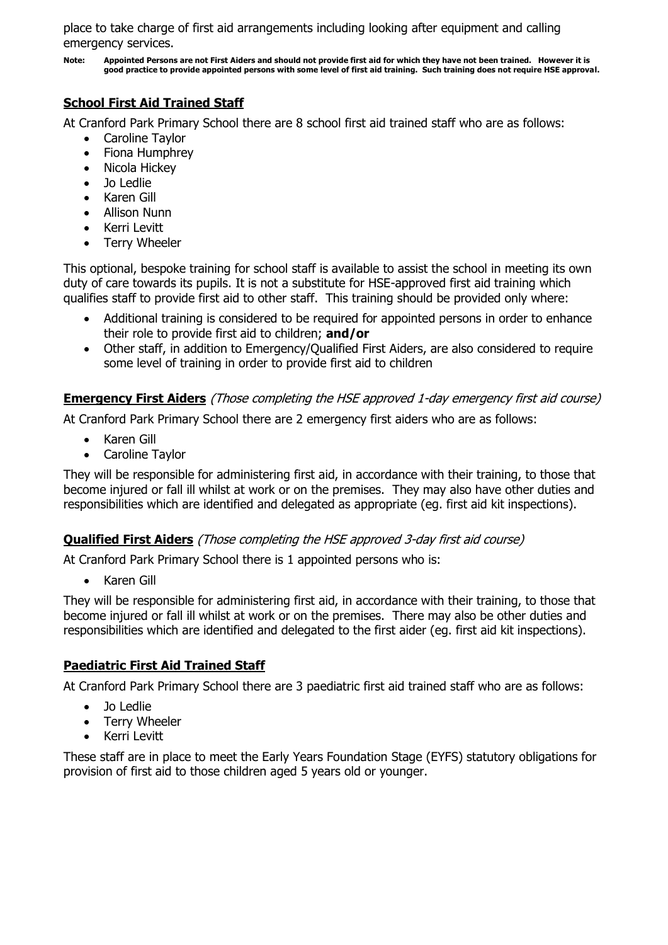place to take charge of first aid arrangements including looking after equipment and calling emergency services.

**Note: Appointed Persons are not First Aiders and should not provide first aid for which they have not been trained. However it is good practice to provide appointed persons with some level of first aid training. Such training does not require HSE approval.**

# **School First Aid Trained Staff**

At Cranford Park Primary School there are 8 school first aid trained staff who are as follows:

- Caroline Taylor
- Fiona Humphrey
- Nicola Hickey
- Jo Ledlie
- Karen Gill
- Allison Nunn
- Kerri Levitt
- Terry Wheeler

This optional, bespoke training for school staff is available to assist the school in meeting its own duty of care towards its pupils. It is not a substitute for HSE-approved first aid training which qualifies staff to provide first aid to other staff. This training should be provided only where:

- Additional training is considered to be required for appointed persons in order to enhance their role to provide first aid to children; **and/or**
- Other staff, in addition to Emergency/Qualified First Aiders, are also considered to require some level of training in order to provide first aid to children

## **Emergency First Aiders** (Those completing the HSE approved 1-day emergency first aid course)

At Cranford Park Primary School there are 2 emergency first aiders who are as follows:

- Karen Gill
- Caroline Taylor

They will be responsible for administering first aid, in accordance with their training, to those that become injured or fall ill whilst at work or on the premises. They may also have other duties and responsibilities which are identified and delegated as appropriate (eg. first aid kit inspections).

# **Qualified First Aiders** (Those completing the HSE approved 3-day first aid course)

At Cranford Park Primary School there is 1 appointed persons who is:

Karen Gill

They will be responsible for administering first aid, in accordance with their training, to those that become injured or fall ill whilst at work or on the premises. There may also be other duties and responsibilities which are identified and delegated to the first aider (eg. first aid kit inspections).

### **Paediatric First Aid Trained Staff**

At Cranford Park Primary School there are 3 paediatric first aid trained staff who are as follows:

- Jo Ledlie
- Terry Wheeler
- Kerri Levitt

These staff are in place to meet the Early Years Foundation Stage (EYFS) statutory obligations for provision of first aid to those children aged 5 years old or younger.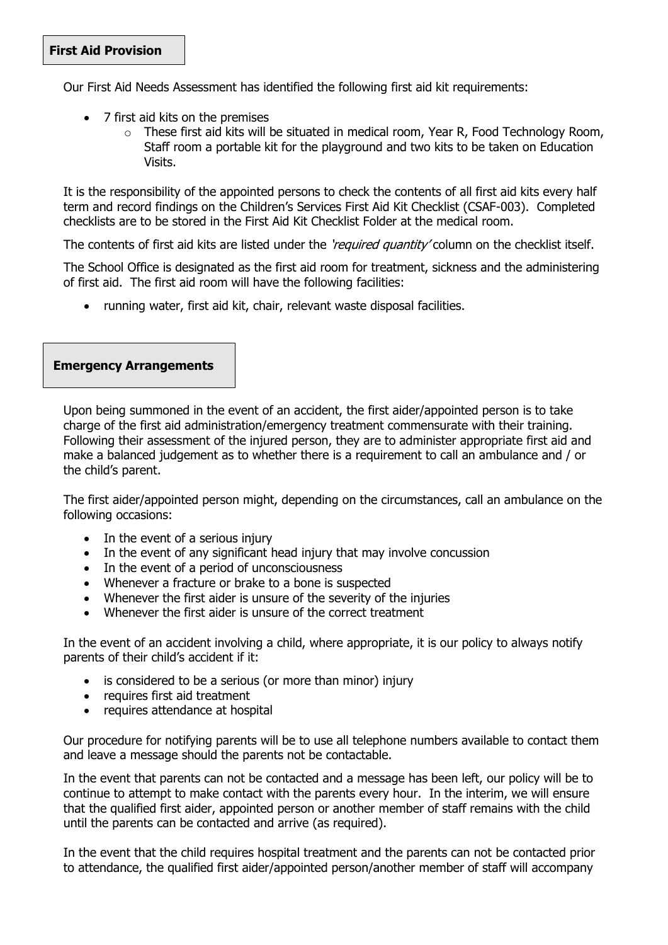Our First Aid Needs Assessment has identified the following first aid kit requirements:

- 7 first aid kits on the premises
	- $\circ$  These first aid kits will be situated in medical room, Year R, Food Technology Room, Staff room a portable kit for the playground and two kits to be taken on Education Visits.

It is the responsibility of the appointed persons to check the contents of all first aid kits every half term and record findings on the Children's Services First Aid Kit Checklist (CSAF-003). Completed checklists are to be stored in the First Aid Kit Checklist Folder at the medical room.

The contents of first aid kits are listed under the *'required quantity'* column on the checklist itself.

The School Office is designated as the first aid room for treatment, sickness and the administering of first aid. The first aid room will have the following facilities:

running water, first aid kit, chair, relevant waste disposal facilities.

#### **Emergency Arrangements**

Upon being summoned in the event of an accident, the first aider/appointed person is to take charge of the first aid administration/emergency treatment commensurate with their training. Following their assessment of the injured person, they are to administer appropriate first aid and make a balanced judgement as to whether there is a requirement to call an ambulance and / or the child's parent.

The first aider/appointed person might, depending on the circumstances, call an ambulance on the following occasions:

- $\bullet$  In the event of a serious injury
- In the event of any significant head injury that may involve concussion
- In the event of a period of unconsciousness
- Whenever a fracture or brake to a bone is suspected
- Whenever the first aider is unsure of the severity of the injuries
- Whenever the first aider is unsure of the correct treatment

In the event of an accident involving a child, where appropriate, it is our policy to always notify parents of their child's accident if it:

- is considered to be a serious (or more than minor) injury
- requires first aid treatment
- requires attendance at hospital

Our procedure for notifying parents will be to use all telephone numbers available to contact them and leave a message should the parents not be contactable.

In the event that parents can not be contacted and a message has been left, our policy will be to continue to attempt to make contact with the parents every hour. In the interim, we will ensure that the qualified first aider, appointed person or another member of staff remains with the child until the parents can be contacted and arrive (as required).

In the event that the child requires hospital treatment and the parents can not be contacted prior to attendance, the qualified first aider/appointed person/another member of staff will accompany